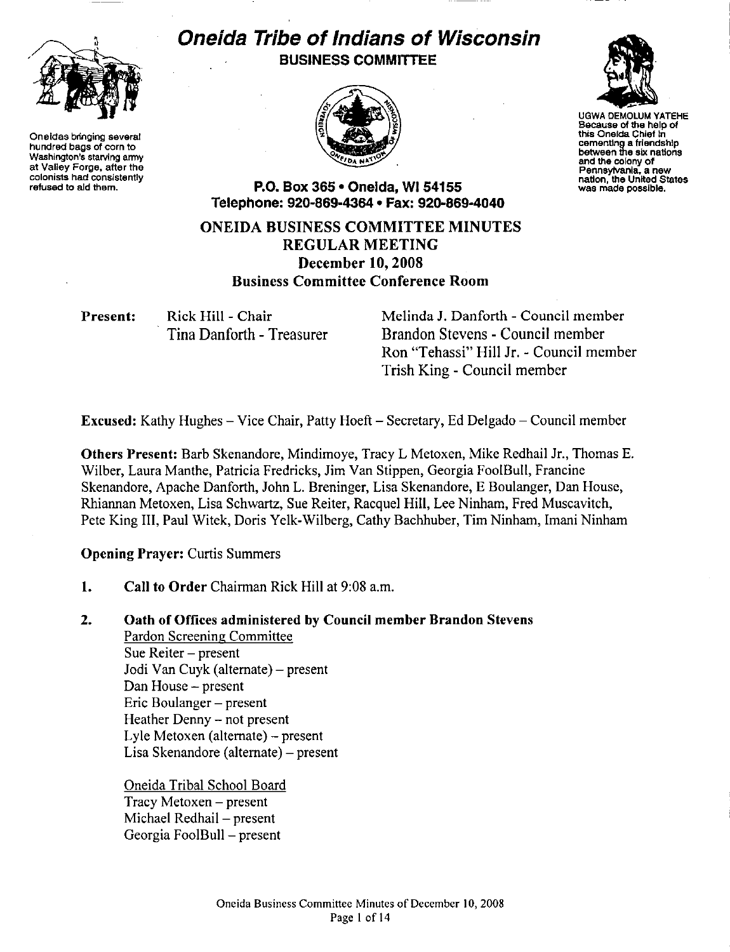

Oneidas bringing several hundred bags of corn to Washington's starving army at Valley Forge, after the colonists had consistently refused to aid them.

# Oneida Tribe of Indians of Wisconsin BUSINESS COMMITTEE





UGWA DEMOLUM YATEHE Because of the help of this Oneida Chief in cementing a friendship between the six nations and the colony of Pennsylvania. a new nation, the United States was made possible.

P.O. Box 365 • Oneida, WI 54155 Telephone: 920-869-4364 • Fax: 92G-869-4040

ONEIDA BUSINESS COMMITTEE MINUTES REGULAR MEETING December 10, 2008 Business Committee Conference Room

Present: Rick Hill - Chair

Tina Danforth - Treasurer

Melinda J. Danforth- Council member Brandon Stevens - Council member Ron "Tehassi" Hill Jr. -Council member Trish King - Council member

Excused: Kathy Hughes- Vice Chair, Patty Hoeft- Secretary, Ed Delgado- Council member

Others Present: Barb Skenandore, Mindimoye, Tracy L Metoxen, Mike Redhail Jr., Thomas E. Wilber, Laura Manthe, Patricia Fredricks, Jim Van Stippen, Georgia FooiBull, Francine Skenandore, Apache Danforth, John L. Breninger, Lisa Skenandore, E Boulanger, Dan House, Rhiannan Metoxen, Lisa Schwartz, Sue Reiter, Racquel Hill, Lee Ninham, Fred Muscavitch, Pete King III, Paul Witek, Doris Yelk-Wilberg, Cathy Bachhuber, Tim Ninham, Imani Ninham

Opening Prayer: Curtis Summers

l. Call to Order Chairman Rick Hill at 9:08 a.m.

# 2. Oath of Offices administered by Council member Brandon Stevens

Pardon Screening Committee Sue Reiter- present Jodi Van Cuyk (alternate) - present Dan House - present Eric Boulanger - present Heather Denny - not present Lyle Metoxen (alternate)- present Lisa Skenandore (alternate)- present

Oneida Tribal School Board  $Tracy Metoxen - present$ Michael Redhail - present Georgia FooiBull- present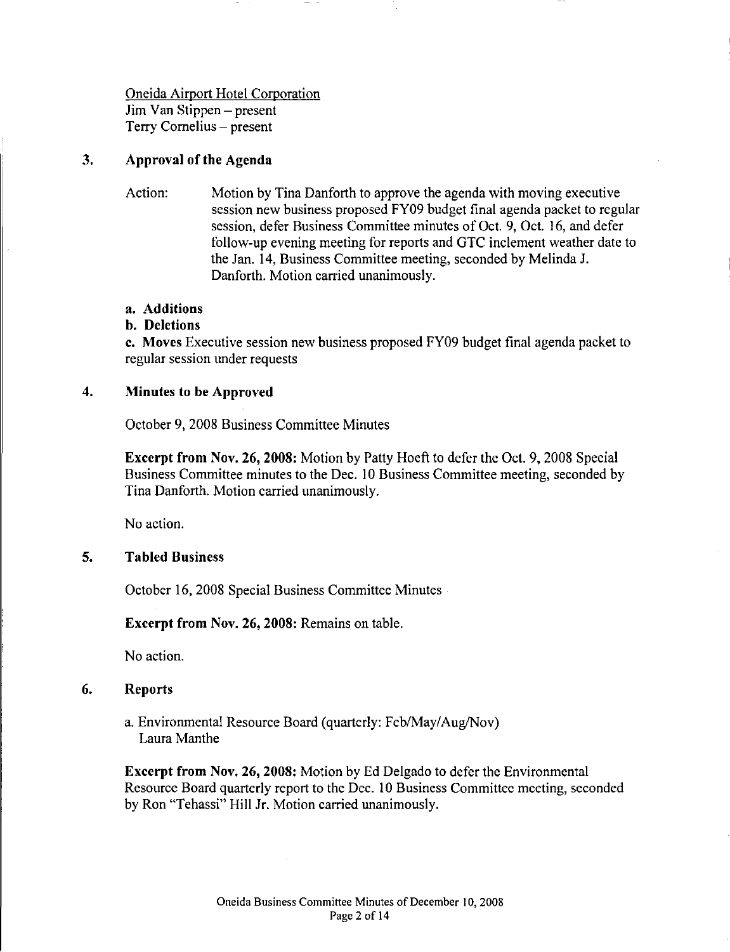# Oneida Airport Hotel Corporation Jim Van Stippen- present Terry Cornelius- present

#### 3. Approval of the Agenda

Action: Motion by Tina Danforth to approve the agenda with moving executive session new business proposed FY09 budget final agenda packet to regular session, defer Business Committee minutes of Oct. 9, Oct. 16, and defer follow-up evening meeting for reports and GTC inclement weather date to the Jan. 14, Business Committee meeting, seconded by Melinda J. Danforth. Motion carried unanimously.

# a. Additions

# b. Deletions

c. Moves Executive session new business proposed FY09 budget final agenda packet to regular session under requests

#### 4. Minutes to be Approved

October 9, 2008 Business Committee Minutes

Excerpt from Nov. 26, 2008: Motion by Patty Hoeft to defer the Oct. 9, 2008 Special Business Committee minutes to the Dec. I 0 Business Committee meeting, seconded by Tina Danforth. Motion carried unanimously.

No action.

# 5. Tabled Business

October 16, 2008 Special Business Committee Minutes

Excerpt from Nov. 26, 2008: Remains on table.

No action.

#### 6. Reports

a. Environmental Resource Board (quarterly: Feb/May/Aug/Nov) Laura Manthe

Excerpt from Nov. 26, 2008: Motion by Ed Delgado to defer the Environmental Resource Board quarterly report to the Dec. 10 Business Committee meeting, seconded by Ron "Tehassi" Hill Jr. Motion carried unanimously.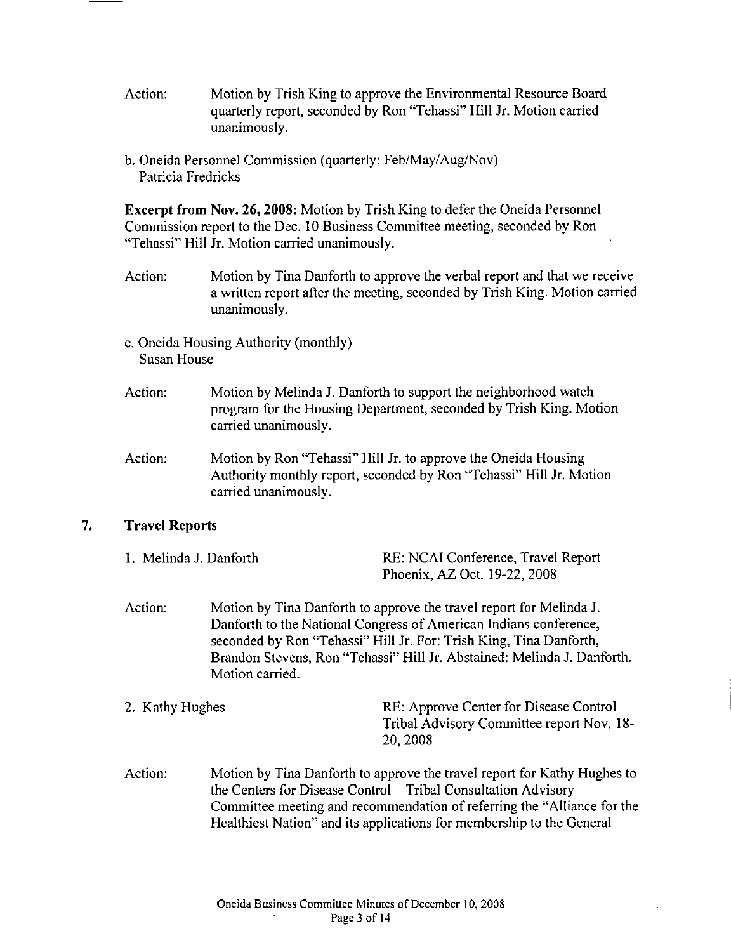- Action: Motion by Trish King to approve the Environmental Resource Board quarterly report, seconded by Ron "Tehassi" Hill Jr. Motion carried unanimously.
- b. Oneida Personnel Commission (quarterly: Feb/May/Aug/Nov) Patricia Fredricks

Excerpt from Nov. 26, 2008: Motion by Trish King to defer the Oneida Personnel Commission report to the Dec. 10 Business Committee meeting, seconded by Ron "Tehassi" Hill Jr. Motion carried unanimously.

- Action: Motion by Tina Danforth to approve the verbal report and that we receive a written report after the meeting, seconded by Trish King. Motion carried unanimously.
- c. Oneida Housing Authority (monthly) Susan House
- Action: Motion by Melinda J. Danforth to support the neighborhood watch program for the Housing Department, seconded by Trish King. Motion carried unanimously.
- Action: Motion by Ron "Tehassi" Hill Jr. to approve the Oneida Housing Authority monthly report, seconded by Ron "Tehassi" Hill Jr. Motion carried unanimously.

# 7. Travel Reports

| 1. Melinda J. Danforth | RE: NCAI Conference, Travel Report |
|------------------------|------------------------------------|
|                        | Phoenix, AZ Oct. 19-22, 2008       |

- Action: Motion by Tina Danforth to approve the travel report for Melinda J. Danforth to the National Congress of American Indians conference, seconded by Ron "Tehassi" Hill Jr. For: Trish King, Tina Danforth, Brandon Stevens, Ron "Tehassi" Hill Jr. Abstained: Melinda J. Danforth. Motion carried.
- 2. Kathy Hughes **RE:** Approve Center for Disease Control Tribal Advisory Committee report Nov. 18- 20,2008
- Action: Motion by Tina Danforth to approve the travel report for Kathy Hughes to the Centers for Disease Control- Tribal Consultation Advisory Committee meeting and recommendation of referring the "Alliance for the Healthiest Nation" and its applications for membership to the General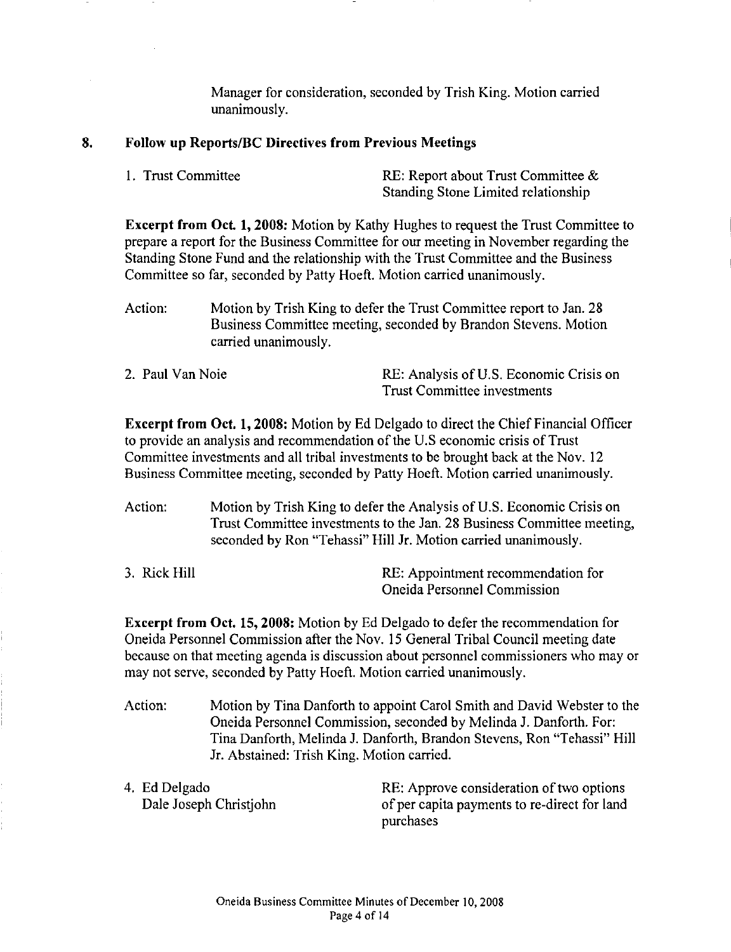Manager for consideration, seconded by Trish King. Motion carried unanimously.

#### **8. Follow up Reports/BC Directives from Previous Meetings**

| 1. Trust Committee | RE: Report about Trust Committee $\&$ |
|--------------------|---------------------------------------|
|                    | Standing Stone Limited relationship   |

**Excerpt from Oct 1, 2008:** Motion by Kathy Hughes to request the Trust Committee to prepare a report for the Business Committee for our meeting in November regarding the Standing Stone Fund and the relationship with the Trust Committee and the Business Committee so far, seconded by Patty Hoeft. Motion carried unanimously.

- Action: Motion by Trish King to defer the Trust Committee report to Jan. 28 Business Committee meeting, seconded by Brandon Stevens. Motion carried unanimously.
- 2. Paul Van Noie RE: Analysis of U.S. Economic Crisis on Trust Committee investments

**Excerpt from Oct. 1, 2008:** Motion by Ed Delgado to direct the Chief Financial Officer to provide an analysis and recommendation of the U.S economic crisis of Trust Committee investments and all tribal investments to be brought back at the Nov. 12 Business Committee meeting, seconded by Patty Hoeft. Motion carried unanimously.

Action: Motion by Trish King to defer the Analysis of U.S. Economic Crisis on Trust Committee investments to the Jan. 28 Business Committee meeting, seconded by Ron "Tehassi" Hill Jr. Motion carried unanimously.

| 3. Rick Hill | RE: Appointment recommendation for |
|--------------|------------------------------------|
|              | Oneida Personnel Commission        |

**Excerpt from Oct. 15, 2008:** Motion by Ed Delgado to defer the recommendation for Oneida Personnel Commission after the Nov. 15 General Tribal Council meeting date because on that meeting agenda is discussion about personnel commissioners who may or may not serve, seconded by Patty Hoeft. Motion carried unanimously.

Action: Motion by Tina Danforth to appoint Carol Smith and David Webster to the Oneida Personnel Commission, seconded by Melinda J. Danforth. For: Tina Danforth, Melinda J. Danforth, Brandon Stevens, Ron "Tehassi" Hill Jr. Abstained: Trish King. Motion carried.

4. Ed Delgado Dale Joseph Christjohn RE: Approve consideration of two options of per capita payments to re-direct for land purchases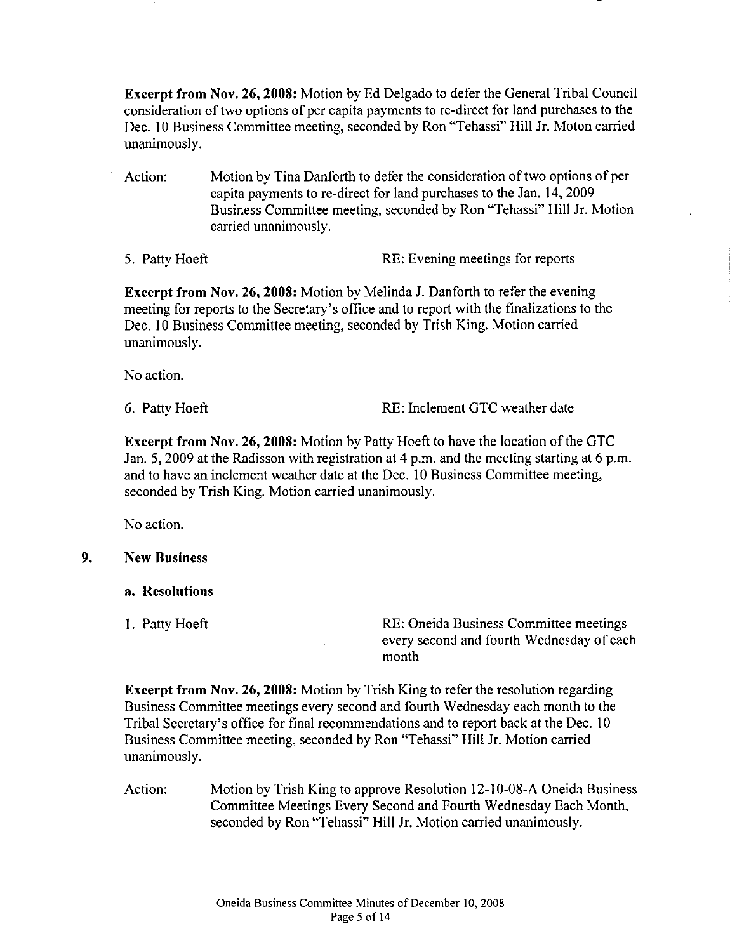Excerpt from Nov. 26, 2008: Motion by Ed Delgado to defer the General Tribal Council consideration of two options of per capita payments to re-direct for land purchases to the Dec. 10 Business Committee meeting, seconded by Ron "Tehassi" Hill Jr. Moton carried unanimously.

- Action: Motion by Tina Danforth to defer the consideration of two options of per capita payments to re-direct for land purchases to the Jan. 14, 2009 Business Committee meeting, seconded by Ron "Tehassi" Hill Jr. Motion carried unanimously.
- 

5. Patty Hoeft RE: Evening meetings for reports

Excerpt from Nov. 26, 2008: Motion by Melinda J. Danforth to refer the evening meeting for reports to the Secretary's office and to report with the finalizations to the Dec. 10 Business Committee meeting, seconded by Trish King. Motion carried unanimously.

No action.

6. Patty Hoeft RE: Inclement GTC weather date

Excerpt from Nov. 26,2008: Motion by Patty Hoeft to have the location of the GTC Jan. 5, 2009 at the Radisson with registration at 4 p.m. and the meeting starting at 6 p.m. and to have an inclement weather date at the Dec. 10 Business Committee meeting, seconded by Trish King. Motion carried unanimously.

No action.

# 9. New Business

- a. Resolutions
- 

I. Patty Hoeft RE: Oneida Business Committee meetings every second and fourth Wednesday of each month

Excerpt from Nov. 26, 2008: Motion by Trish King to refer the resolution regarding Business Committee meetings every second and fourth Wednesday each month to the Tribal Secretary's office for final recommendations and to report back at the Dec. 10 Business Committee meeting, seconded by Ron "Tehassi" Hill Jr. Motion carried unanimously.

Action: Motion by Trish King to approve Resolution 12-1 0-08-A Oneida Business Committee Meetings Every Second and Fourth Wednesday Each Month, seconded by Ron 'Tehassi" Hill Jr. Motion carried unanimously.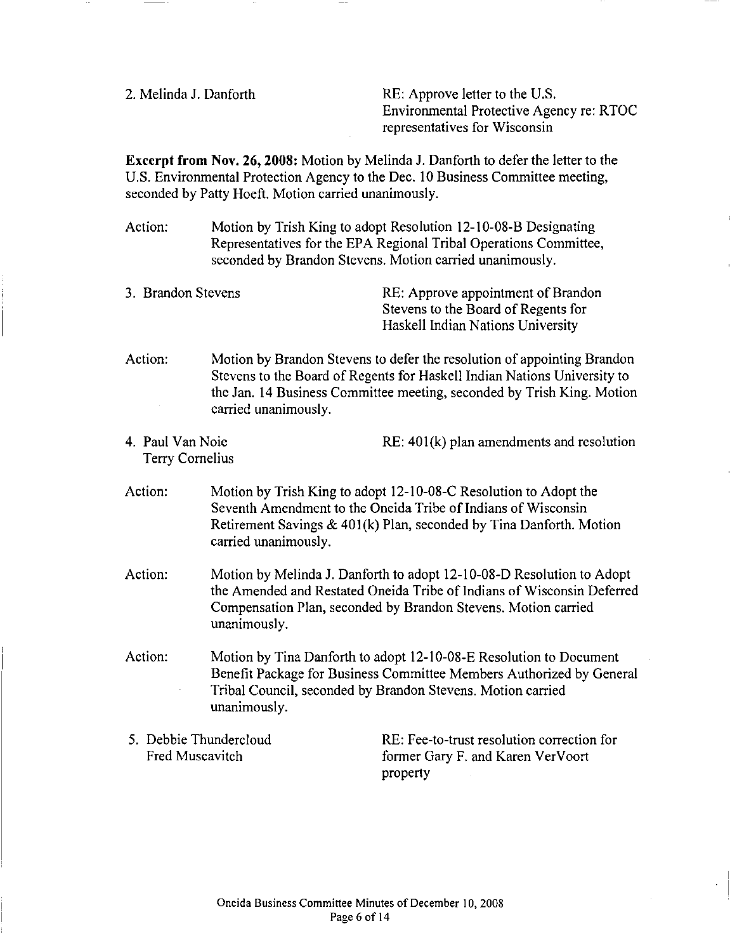2. Melinda J. Danforth RE: Approve letter to the U.S. Environmental Protective Agency re: RTOC representatives for Wisconsin

**Excerpt from Nov. 26, 2008:** Motion by Melinda **J.** Danforth to defer the letter to the U.S. Environmental Protection Agency to the Dec. I 0 Business Committee meeting, seconded by Patty Hoeft. Motion carried unanimously.

Action: Motion by Irish King to adopt Resolution 12-10-08-B Designating Representatives for the EPA Regional Tribal Operations Committee, seconded by Brandon Stevens. Motion carried unanimously.

- Action: Motion by Brandon Stevens to defer the resolution of appointing Brandon Stevens to the Board of Regents for Haskell Indian Nations University to the Jan. 14 Business Committee meeting, seconded by Irish King. Motion carried unanimously.
- 4. Paul Van Noie Terry Cornelius RE: 401(k) plan amendments and resolution
- Action: Motion by Irish King to adopt 12-10-08-C Resolution to Adopt the Seventh Amendment to the Oneida Tribe of Indians of Wisconsin Retirement Savings  $& 401(k)$  Plan, seconded by Tina Danforth. Motion carried unanimously.
- Action: Motion by Melinda J. Danforth to adopt 12-10-08-D Resolution to Adopt the Amended and Restated Oneida Tribe of Indians of Wisconsin Deferred Compensation Plan, seconded by Brandon Stevens. Motion carried unanimously.
- Action: Motion by Tina Danforth to adopt 12-10-08-E Resolution to Document Benefit Package for Business Committee Members Authorized by General Tribal Council, seconded by Brandon Stevens. Motion carried unanimously.
- 5. Debbie Thundercloud Fred Muscavitch

RE: Fee-to-trust resolution correction for former Gary F. and Karen VerVoort property

<sup>3.</sup> Brandon Stevens RE: Approve appointment of Brandon Stevens to the Board of Regents for Haskell Indian Nations University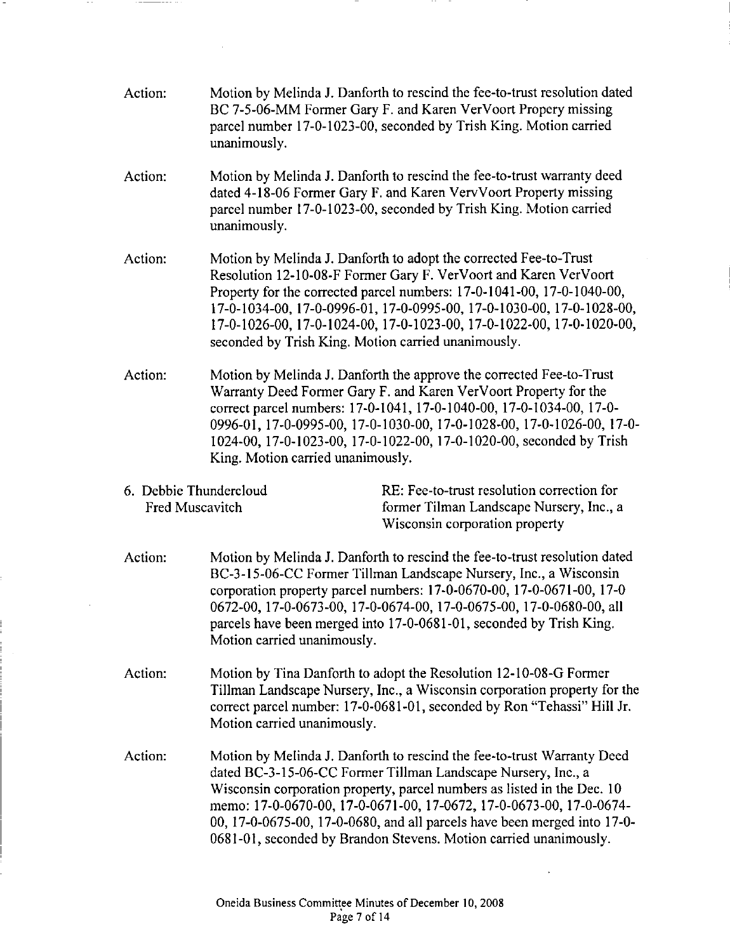| Action:                                   | unanimously.                                                                                                                                                                                                                                                                                                                                                                                                             | Motion by Melinda J. Danforth to rescind the fee-to-trust resolution dated<br>BC 7-5-06-MM Former Gary F. and Karen VerVoort Propery missing<br>parcel number 17-0-1023-00, seconded by Trish King. Motion carried                                                                                                                                                                                                                          |
|-------------------------------------------|--------------------------------------------------------------------------------------------------------------------------------------------------------------------------------------------------------------------------------------------------------------------------------------------------------------------------------------------------------------------------------------------------------------------------|---------------------------------------------------------------------------------------------------------------------------------------------------------------------------------------------------------------------------------------------------------------------------------------------------------------------------------------------------------------------------------------------------------------------------------------------|
| Action:                                   | Motion by Melinda J. Danforth to rescind the fee-to-trust warranty deed<br>dated 4-18-06 Former Gary F. and Karen VervVoort Property missing<br>parcel number 17-0-1023-00, seconded by Trish King. Motion carried<br>unanimously.                                                                                                                                                                                       |                                                                                                                                                                                                                                                                                                                                                                                                                                             |
| Action:                                   | Motion by Melinda J. Danforth to adopt the corrected Fee-to-Trust<br>Resolution 12-10-08-F Former Gary F. VerVoort and Karen VerVoort<br>Property for the corrected parcel numbers: 17-0-1041-00, 17-0-1040-00,<br>17-0-1034-00, 17-0-0996-01, 17-0-0995-00, 17-0-1030-00, 17-0-1028-00,<br>17-0-1026-00, 17-0-1024-00, 17-0-1023-00, 17-0-1022-00, 17-0-1020-00,<br>seconded by Trish King. Motion carried unanimously. |                                                                                                                                                                                                                                                                                                                                                                                                                                             |
| Action:                                   | Motion by Melinda J. Danforth the approve the corrected Fee-to-Trust<br>Warranty Deed Former Gary F. and Karen VerVoort Property for the<br>correct parcel numbers: 17-0-1041, 17-0-1040-00, 17-0-1034-00, 17-0-<br>0996-01, 17-0-0995-00, 17-0-1030-00, 17-0-1028-00, 17-0-1026-00, 17-0-<br>1024-00, 17-0-1023-00, 17-0-1022-00, 17-0-1020-00, seconded by Trish<br>King. Motion carried unanimously.                  |                                                                                                                                                                                                                                                                                                                                                                                                                                             |
| 6. Debbie Thundercloud<br>Fred Muscavitch |                                                                                                                                                                                                                                                                                                                                                                                                                          | RE: Fee-to-trust resolution correction for<br>former Tilman Landscape Nursery, Inc., a<br>Wisconsin corporation property                                                                                                                                                                                                                                                                                                                    |
| Action:                                   | Motion by Melinda J. Danforth to rescind the fee-to-trust resolution dated<br>BC-3-15-06-CC Former Tillman Landscape Nursery, Inc., a Wisconsin<br>corporation property parcel numbers: 17-0-0670-00, 17-0-0671-00, 17-0<br>0672-00, 17-0-0673-00, 17-0-0674-00, 17-0-0675-00, 17-0-0680-00, all<br>parcels have been merged into 17-0-0681-01, seconded by Trish King.<br>Motion carried unanimously.                   |                                                                                                                                                                                                                                                                                                                                                                                                                                             |
| Action:                                   | Motion by Tina Danforth to adopt the Resolution 12-10-08-G Former<br>Tillman Landscape Nursery, Inc., a Wisconsin corporation property for the<br>correct parcel number: 17-0-0681-01, seconded by Ron "Tehassi" Hill Jr.<br>Motion carried unanimously.                                                                                                                                                                 |                                                                                                                                                                                                                                                                                                                                                                                                                                             |
| Action:                                   |                                                                                                                                                                                                                                                                                                                                                                                                                          | Motion by Melinda J. Danforth to rescind the fee-to-trust Warranty Deed<br>dated BC-3-15-06-CC Former Tillman Landscape Nursery, Inc., a<br>Wisconsin corporation property, parcel numbers as listed in the Dec. 10<br>memo: 17-0-0670-00, 17-0-0671-00, 17-0672, 17-0-0673-00, 17-0-0674-<br>00, 17-0-0675-00, 17-0-0680, and all parcels have been merged into 17-0-<br>0681-01, seconded by Brandon Stevens. Motion carried unanimously. |

-

 $\overline{a}$ 

 $\hat{\mathcal{A}}$ 

 $\sim$   $\sim$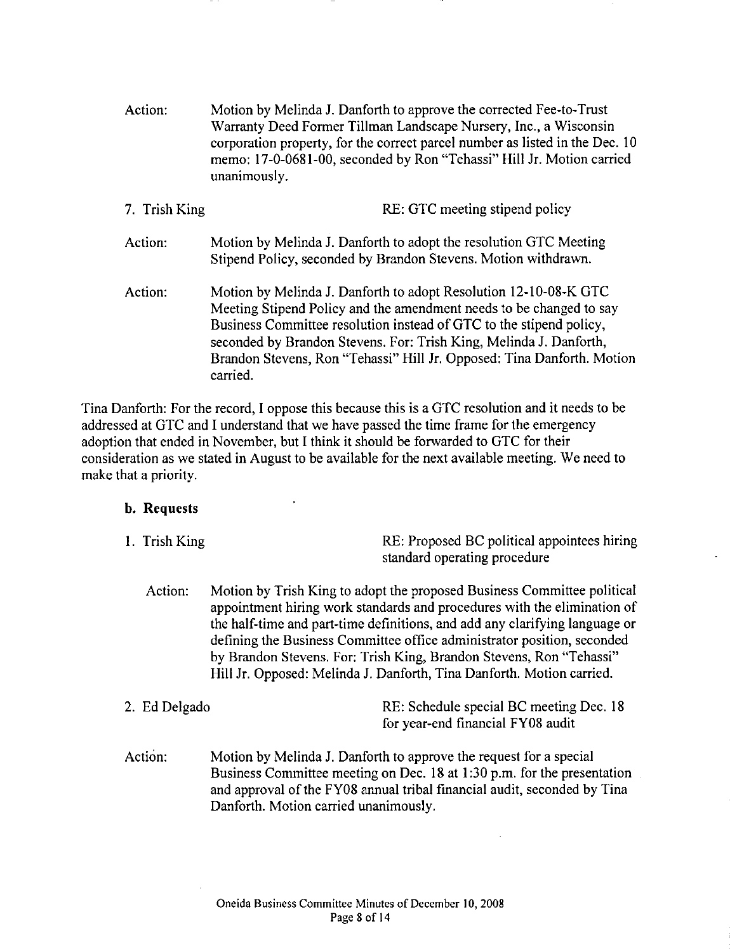| Action:       | Motion by Melinda J. Danforth to approve the corrected Fee-to-Trust<br>Warranty Deed Former Tillman Landscape Nursery, Inc., a Wisconsin<br>corporation property, for the correct parcel number as listed in the Dec. 10<br>memo: 17-0-0681-00, seconded by Ron "Tehassi" Hill Jr. Motion carried<br>unanimously.                                                          |  |
|---------------|----------------------------------------------------------------------------------------------------------------------------------------------------------------------------------------------------------------------------------------------------------------------------------------------------------------------------------------------------------------------------|--|
| 7. Trish King | RE: GTC meeting stipend policy                                                                                                                                                                                                                                                                                                                                             |  |
| Action:       | Motion by Melinda J. Danforth to adopt the resolution GTC Meeting<br>Stipend Policy, seconded by Brandon Stevens. Motion withdrawn.                                                                                                                                                                                                                                        |  |
| Action:       | Motion by Melinda J. Danforth to adopt Resolution 12-10-08-K GTC<br>Meeting Stipend Policy and the amendment needs to be changed to say<br>Business Committee resolution instead of GTC to the stipend policy,<br>seconded by Brandon Stevens. For: Trish King, Melinda J. Danforth,<br>Brandon Stevens, Ron "Tehassi" Hill Jr. Opposed: Tina Danforth. Motion<br>carried. |  |

Tina Danforth: For the record, I oppose this because this is a GTC resolution and it needs to be addressed at GTC and I understand that we have passed the time frame for the emergency adoption that ended in November, but I think it should be forwarded to GTC for their consideration as we stated in August to be available for the next available meeting. We need to make that a priority.

# b. Requests

- I. Trish King RE: Proposed BC political appointees hiring standard operating procedure
	- Action: Motion by Trish King to adopt the proposed Business Committee political appointment hiring work standards and procedures with the elimination of the half-time and part-time definitions, and add any clarifying language or defining the Business Committee office administrator position, seconded by Brandon Stevens. For: Trish King, Brandon Stevens, Ron "Tehassi" Hill Jr. Opposed: Melinda J. Danforth, Tina Danforth. Motion carried.
- 2. Ed Delgado RE: Schedule special BC meeting Dec. 18 for year-end financial FY08 audit
- Action: Motion by Melinda J. Danforth to approve the request for a special Business Committee meeting on Dec. 18 at I :30 p.m. for the presentation and approval of the FY08 annual tribal financial audit, seconded by Tina Danforth. Motion carried unanimously.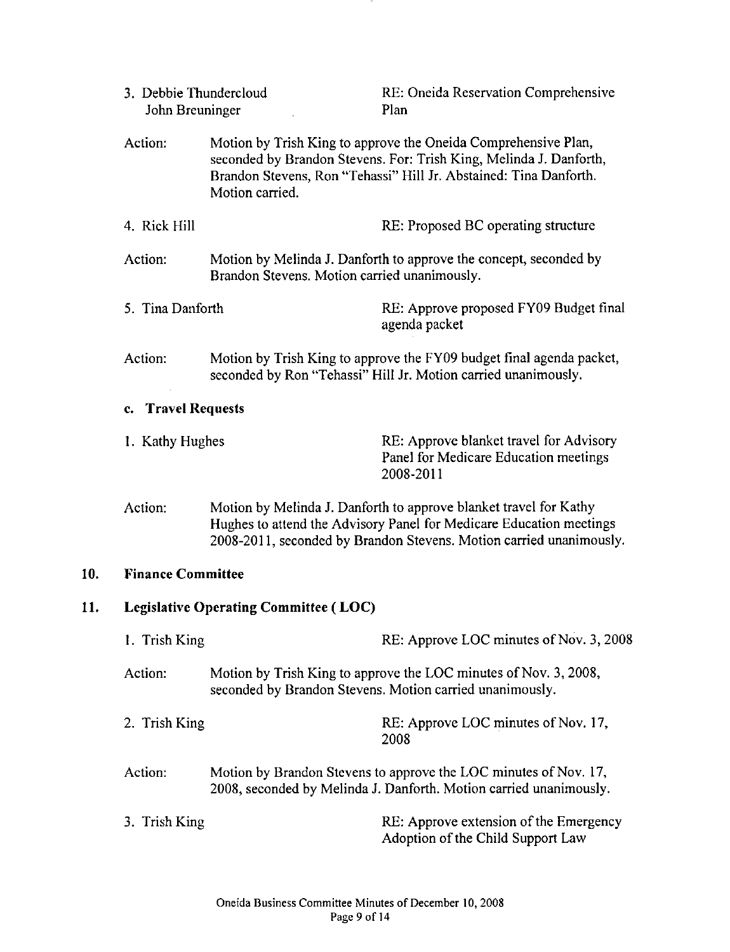|                                                                                                                                         | 3. Debbie Thundercloud<br>John Breuninger |                                              | RE: Oneida Reservation Comprehensive<br>Plan                                                                                                                                                                    |  |
|-----------------------------------------------------------------------------------------------------------------------------------------|-------------------------------------------|----------------------------------------------|-----------------------------------------------------------------------------------------------------------------------------------------------------------------------------------------------------------------|--|
| Action:                                                                                                                                 |                                           | Motion carried.                              | Motion by Trish King to approve the Oneida Comprehensive Plan,<br>seconded by Brandon Stevens. For: Trish King, Melinda J. Danforth,<br>Brandon Stevens, Ron "Tehassi" Hill Jr. Abstained: Tina Danforth.       |  |
|                                                                                                                                         | 4. Rick Hill                              |                                              | RE: Proposed BC operating structure                                                                                                                                                                             |  |
| Action:                                                                                                                                 |                                           | Brandon Stevens. Motion carried unanimously. | Motion by Melinda J. Danforth to approve the concept, seconded by                                                                                                                                               |  |
|                                                                                                                                         | 5. Tina Danforth                          |                                              | RE: Approve proposed FY09 Budget final<br>agenda packet                                                                                                                                                         |  |
|                                                                                                                                         | Action:                                   |                                              | Motion by Trish King to approve the FY09 budget final agenda packet,<br>seconded by Ron "Tehassi" Hill Jr. Motion carried unanimously.                                                                          |  |
|                                                                                                                                         | <b>Travel Requests</b><br>$c_{\star}$     |                                              |                                                                                                                                                                                                                 |  |
|                                                                                                                                         | 1. Kathy Hughes                           |                                              | RE: Approve blanket travel for Advisory<br>Panel for Medicare Education meetings<br>2008-2011                                                                                                                   |  |
|                                                                                                                                         | Action:                                   |                                              | Motion by Melinda J. Danforth to approve blanket travel for Kathy<br>Hughes to attend the Advisory Panel for Medicare Education meetings<br>2008-2011, seconded by Brandon Stevens. Motion carried unanimously. |  |
| 10.                                                                                                                                     | <b>Finance Committee</b>                  |                                              |                                                                                                                                                                                                                 |  |
| 11.<br><b>Legislative Operating Committee (LOC)</b>                                                                                     |                                           |                                              |                                                                                                                                                                                                                 |  |
|                                                                                                                                         | 1. Trish King                             |                                              | RE: Approve LOC minutes of Nov. 3, 2008                                                                                                                                                                         |  |
| Motion by Trish King to approve the LOC minutes of Nov. 3, 2008,<br>Action:<br>seconded by Brandon Stevens. Motion carried unanimously. |                                           |                                              |                                                                                                                                                                                                                 |  |
|                                                                                                                                         | 2. Trish King                             |                                              | RE: Approve LOC minutes of Nov. 17,<br>2008                                                                                                                                                                     |  |
|                                                                                                                                         | Action:                                   |                                              | Motion by Brandon Stevens to approve the LOC minutes of Nov. 17,<br>2008, seconded by Melinda J. Danforth. Motion carried unanimously.                                                                          |  |
|                                                                                                                                         | 3. Trish King                             |                                              | RE: Approve extension of the Emergency<br>Adoption of the Child Support Law                                                                                                                                     |  |

**10.**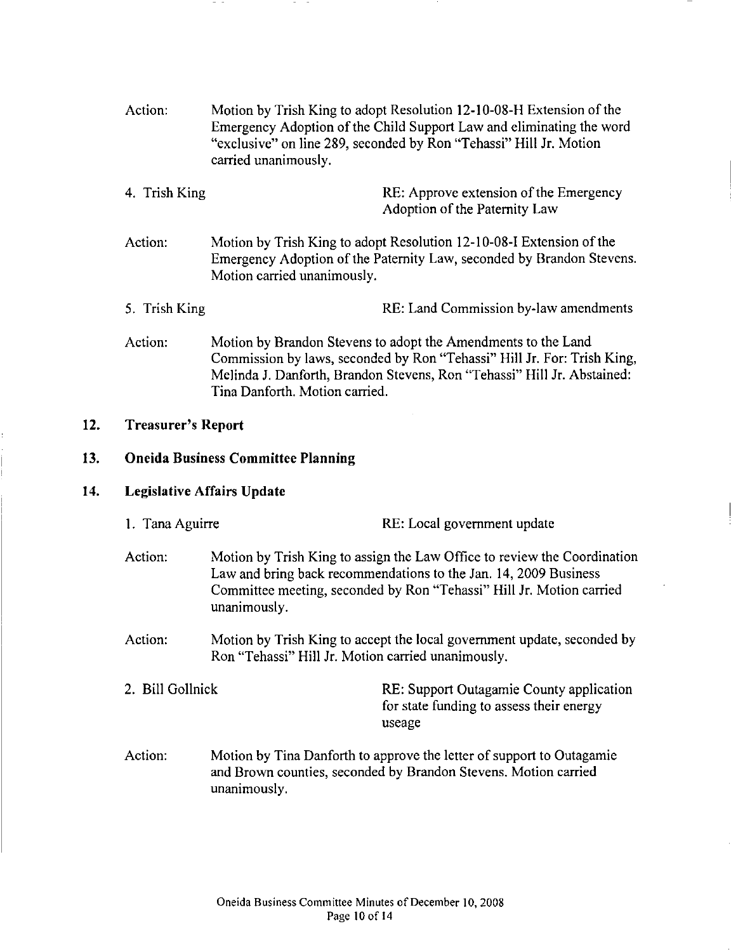| Action: | Motion by Trish King to adopt Resolution 12-10-08-H Extension of the |
|---------|----------------------------------------------------------------------|
|         | Emergency Adoption of the Child Support Law and eliminating the word |
|         | "exclusive" on line 289, seconded by Ron "Tehassi" Hill Jr. Motion   |
|         | carried unanimously.                                                 |

- 4. Trish King RE: Approve extension of the Emergency Adoption of the Paternity Law
- Action: Motion by Trish King to adopt Resolution 12-10-08-I Extension of the Emergency Adoption of the Paternity Law, seconded by Brandon Stevens. Motion carried unanimously.
- 5. Trish King RE: Land Commission by-law amendments
- Action: Motion by Brandon Stevens to adopt the Amendments to the Land Commission by laws, seconded by Ron "Tehassi" Hill Jr. For: Trish King, Melinda J. Danforth, Brandon Stevens, Ron "Tehassi" Hill Jr. Abstained: Tina Danforth. Motion carried.

#### 12. Treasurer's Report

#### 13. Oneida Business Committee Planning

#### 14. Legislative Affairs Update

- 1. Tana Aguirre RE: Local government update
- Action: Motion by Trish King to assign the Law Office to review the Coordination Law and bring back recommendations to the Jan. 14, 2009 Business Committee meeting, seconded by Ron "Tehassi" Hill Jr. Motion carried unanimously.
- Action: Motion by Trish King to accept the local government update, seconded by Ron "Tehassi" Hill Jr. Motion carried unanimously.
- 2. Bill Gollnick RE: Support Outagamie County application for state funding to assess their energy useage
- Action: Motion by Tina Danforth to approve the letter of support to Outagamie and Brown counties, seconded by Brandon Stevens. Motion carried unanimously.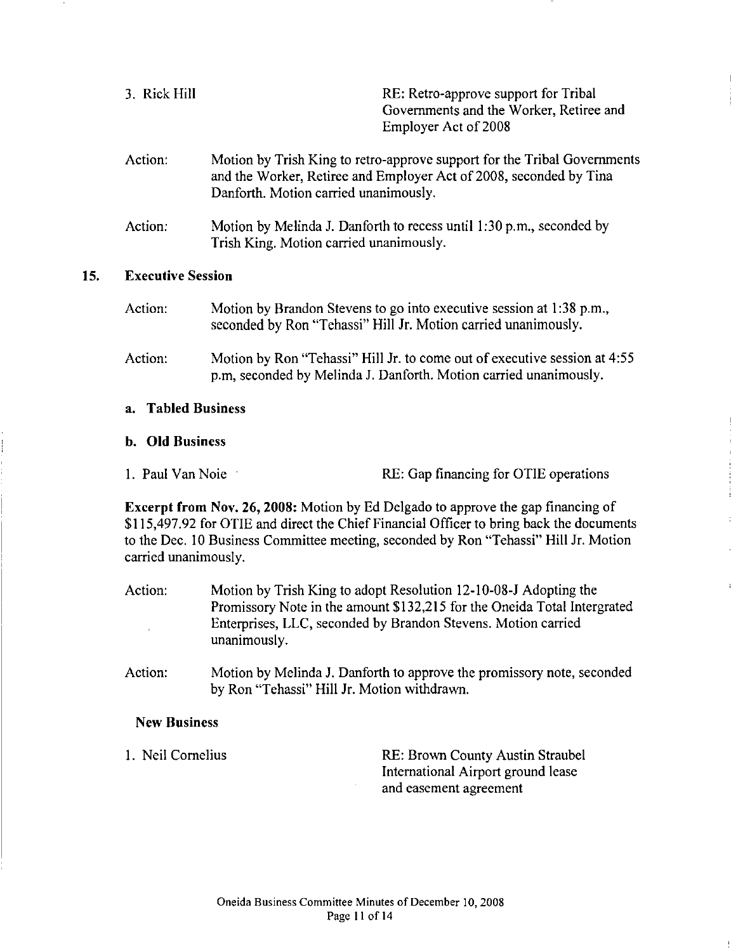| 3. Rick Hill | RE: Retro-approve support for Tribal    |
|--------------|-----------------------------------------|
|              | Governments and the Worker, Retiree and |
|              | Employer Act of 2008                    |
|              |                                         |

- Action: Motion by Trish King to retro-approve support for the Tribal Governments and the Worker, Retiree and Employer Act of 2008, seconded by Tina Danforth. Motion carried unanimously.
- Action: Motion by Melinda J. Danforth to recess until I :30 p.m., seconded by Trish King. Motion carried unanimously.

#### 15. Executive Session

Action: Action: Motion by Brandon Stevens to go into executive session at 1:38 p.m., seconded by Ron "Tehassi" Hill Jr. Motion carried unanimously. Motion by Ron "Tehassi" Hill Jr. to come out of executive session at 4:55 p.m, seconded by Melinda J. Danforth. Motion carried unanimously.

#### a. Tabled Business

#### **b. Old** Business

1. Paul Van Noie RE: Gap financing for OTIE operations

Excerpt from Nov. 26, 2008: Motion by Ed Delgado to approve the gap financing of \$115,497.92 for OTIE and direct the Chief Financial Officer to bring back the documents to the Dec. 10 Business Committee meeting, seconded by Ron "Tehassi" Hill Jr. Motion carried unanimously.

- Action: Motion by Trish King to adopt Resolution 12-10-08-J Adopting the Promissory Note in the amount \$132,215 for the Oneida Total Intergrated Enterprises, LLC, seconded by Brandon Stevens. Motion carried unanimously.
- Action: Motion by Melinda J. Danforth to approve the promissory note, seconded by Ron 'Tehassi" Hill Jr. Motion withdrawn.

#### New Business

I. Neil Cornelius RE: Brown County Austin Straube! International Airport ground lease and easement agreement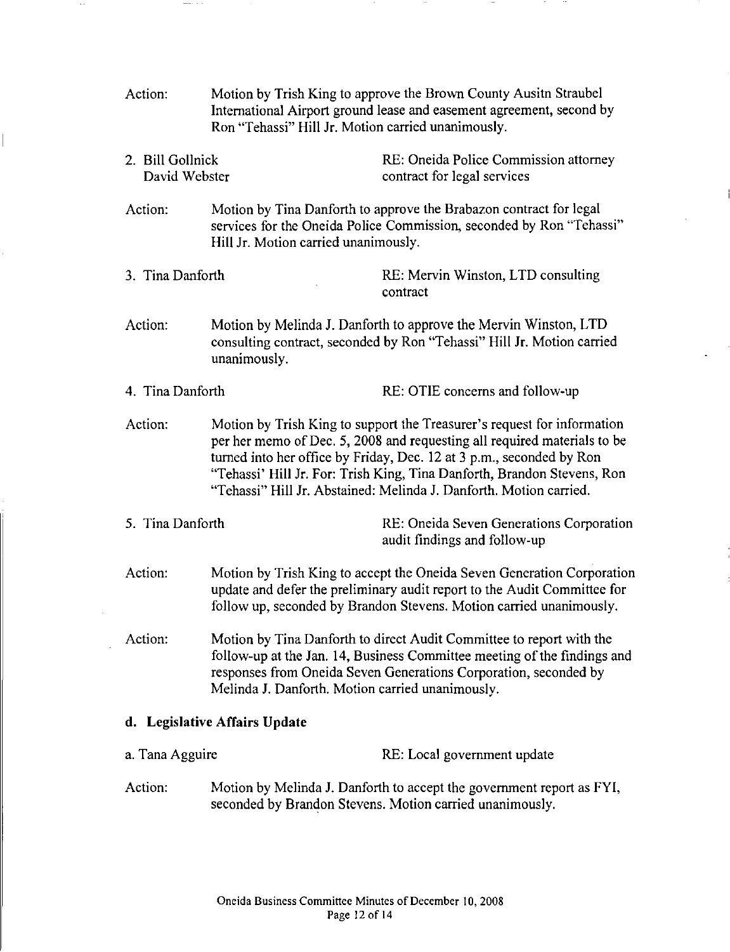| Action:                           | Motion by Trish King to approve the Brown County Ausith Straubel<br>International Airport ground lease and easement agreement, second by<br>Ron "Tehassi" Hill Jr. Motion carried unanimously.                                                                                                                                                                               |                                                                                                                                   |  |
|-----------------------------------|------------------------------------------------------------------------------------------------------------------------------------------------------------------------------------------------------------------------------------------------------------------------------------------------------------------------------------------------------------------------------|-----------------------------------------------------------------------------------------------------------------------------------|--|
| 2. Bill Gollnick<br>David Webster |                                                                                                                                                                                                                                                                                                                                                                              | RE: Oneida Police Commission attorney<br>contract for legal services                                                              |  |
| Action:                           | Motion by Tina Danforth to approve the Brabazon contract for legal<br>services for the Oneida Police Commission, seconded by Ron "Tehassi"<br>Hill Jr. Motion carried unanimously.                                                                                                                                                                                           |                                                                                                                                   |  |
| 3. Tina Danforth                  |                                                                                                                                                                                                                                                                                                                                                                              | RE: Mervin Winston, LTD consulting<br>contract                                                                                    |  |
| Action:                           | Motion by Melinda J. Danforth to approve the Mervin Winston, LTD<br>consulting contract, seconded by Ron "Tehassi" Hill Jr. Motion carried<br>unanimously.                                                                                                                                                                                                                   |                                                                                                                                   |  |
| 4. Tina Danforth                  | RE: OTIE concerns and follow-up                                                                                                                                                                                                                                                                                                                                              |                                                                                                                                   |  |
| Action:                           | Motion by Trish King to support the Treasurer's request for information<br>per her memo of Dec. 5, 2008 and requesting all required materials to be<br>turned into her office by Friday, Dec. 12 at 3 p.m., seconded by Ron<br>"Tehassi' Hill Jr. For: Trish King, Tina Danforth, Brandon Stevens, Ron<br>"Tehassi" Hill Jr. Abstained: Melinda J. Danforth. Motion carried. |                                                                                                                                   |  |
| 5. Tina Danforth                  |                                                                                                                                                                                                                                                                                                                                                                              | RE: Oneida Seven Generations Corporation<br>audit findings and follow-up                                                          |  |
| Action:                           | Motion by Trish King to accept the Oneida Seven Generation Corporation<br>update and defer the preliminary audit report to the Audit Committee for<br>follow up, seconded by Brandon Stevens. Motion carried unanimously.                                                                                                                                                    |                                                                                                                                   |  |
| Action:                           | Motion by Tina Danforth to direct Audit Committee to report with the<br>follow-up at the Jan. 14, Business Committee meeting of the findings and<br>responses from Oneida Seven Generations Corporation, seconded by<br>Melinda J. Danforth. Motion carried unanimously.                                                                                                     |                                                                                                                                   |  |
| d. Legislative Affairs Update     |                                                                                                                                                                                                                                                                                                                                                                              |                                                                                                                                   |  |
| a. Tana Agguire                   |                                                                                                                                                                                                                                                                                                                                                                              | RE: Local government update                                                                                                       |  |
| Action:                           |                                                                                                                                                                                                                                                                                                                                                                              | Motion by Melinda J. Danforth to accept the government report as FYI,<br>seconded by Brandon Stevens. Motion carried unanimously. |  |

 $\sim$ 

 $\sim$ 

 $\cdots$ 

 $\cdot$ 

İ

 $-\cdots$  .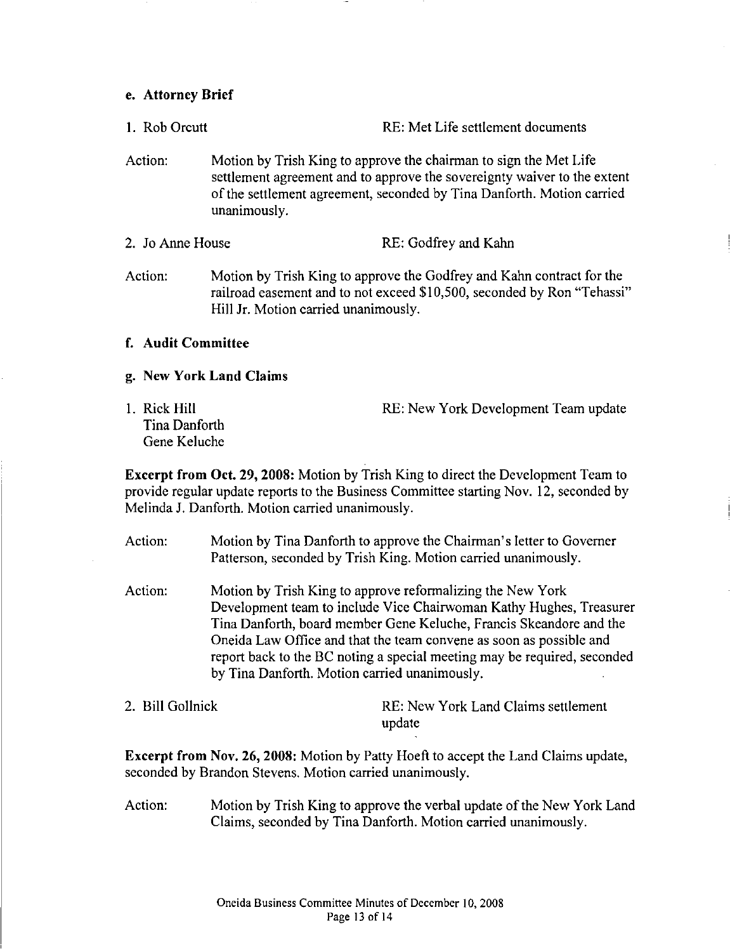#### e. Attorney Brief

- I. Rob Orcutt RE: Met Life settlement documents
- Action: Motion by Trish King to approve the chairman to sign the Met Life settlement agreement and to approve the sovereignty waiver to the extent of the settlement agreement, seconded by Tina Danforth. Motion carried unanimously.
- 2. Jo Anne House RE: Godfrey and Kahn
- Action: Motion by Trish King to approve the Godfrey and Kahn contract for the railroad easement and to not exceed \$10,500, seconded by Ron "Tehassi" Hill Jr. Motion carried unanimously.

#### f. Audit Committee

#### g. New York Land Claims

I. Rick Hill Tina Danforth Gene Keluche RE: New York Development Team update

Excerpt from Oct. 29, 2008: Motion by Trish King to direct the Development Team to provide regular update reports to the Business Committee starting Nov. 12, seconded by Melinda J. Danforth. Motion carried unanimously.

Action: Motion by Tina Danforth to approve the Chairman's letter to Governer Patterson, seconded by Trish King. Motion carried unanimously.

- Action: Motion by Trish King to approve reformalizing the New York Development team to include Vice Chairwoman Kathy Hughes, Treasurer Tina Danforth, board member Gene Keluche, Francis Skeandore and the Oneida Law Office and that the team convene as soon as possible and report back to the BC noting a special meeting may be required, seconded by Tina Danforth. Motion carried unanimously.
- 2. Bill Gollnick RE: New York Land Claims settlement update

Excerpt from Nov. 26, 2008: Motion by Patty Hoeft to accept the Land Claims update, seconded by Brandon Stevens. Motion carried unanimously.

Action: Motion by Trish King to approve the verbal update of the New York Land Claims, seconded by Tina Danforth. Motion carried unanimously.